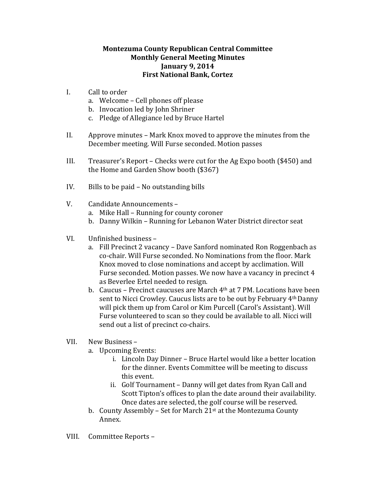## **Montezuma County Republican Central Committee Monthly General Meeting Minutes January 9, 2014 First National Bank, Cortez**

- I. Call to order
	- a. Welcome Cell phones off please
	- b. Invocation led by John Shriner
	- c. Pledge of Allegiance led by Bruce Hartel
- II. Approve minutes  $-$  Mark Knox moved to approve the minutes from the December meeting. Will Furse seconded. Motion passes
- III. Treasurer's Report Checks were cut for the Ag Expo booth (\$450) and the Home and Garden Show booth  $$367$ )
- IV. Bills to be paid No outstanding bills
- V. Candidate Announcements
	- a. Mike Hall Running for county coroner
	- b. Danny Wilkin Running for Lebanon Water District director seat
- VI. Unfinished business
	- a. Fill Precinct 2 vacancy Dave Sanford nominated Ron Roggenbach as co-chair. Will Furse seconded. No Nominations from the floor. Mark Knox moved to close nominations and accept by acclimation. Will Furse seconded. Motion passes. We now have a vacancy in precinct 4 as Beverlee Ertel needed to resign.
	- b. Caucus Precinct caucuses are March  $4<sup>th</sup>$  at 7 PM. Locations have been sent to Nicci Crowley. Caucus lists are to be out by February 4<sup>th</sup> Danny will pick them up from Carol or Kim Purcell (Carol's Assistant). Will Furse volunteered to scan so they could be available to all. Nicci will send out a list of precinct co-chairs.
- VII. New Business
	- a. Upcoming Events:
		- i. Lincoln Day Dinner Bruce Hartel would like a better location for the dinner. Events Committee will be meeting to discuss this event.
		- ii. Golf Tournament Danny will get dates from Ryan Call and Scott Tipton's offices to plan the date around their availability. Once dates are selected, the golf course will be reserved.
	- b. County Assembly Set for March  $21<sup>st</sup>$  at the Montezuma County Annex.
- VIII. Committee Reports -